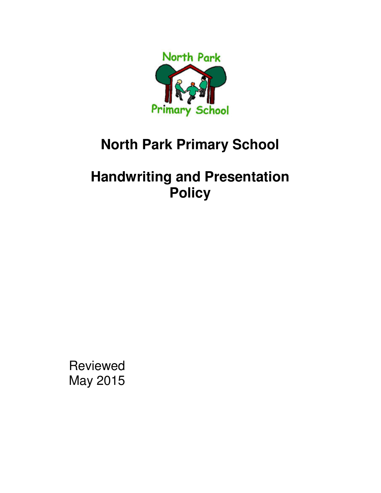

# **North Park Primary School**

# **Handwriting and Presentation Policy**

Reviewed May 2015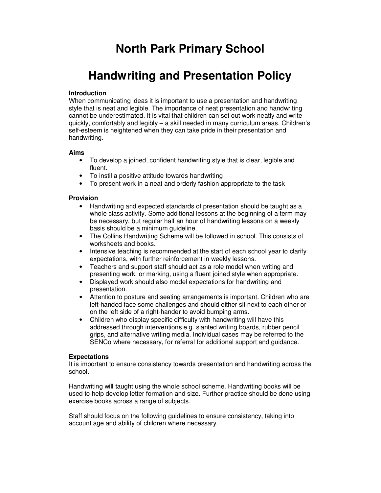# **North Park Primary School**

# **Handwriting and Presentation Policy**

## **Introduction**

When communicating ideas it is important to use a presentation and handwriting style that is neat and legible. The importance of neat presentation and handwriting cannot be underestimated. It is vital that children can set out work neatly and write quickly, comfortably and legibly – a skill needed in many curriculum areas. Children's self-esteem is heightened when they can take pride in their presentation and handwriting.

### **Aims**

- To develop a joined, confident handwriting style that is clear, legible and fluent.
- To instil a positive attitude towards handwriting
- To present work in a neat and orderly fashion appropriate to the task

### **Provision**

- Handwriting and expected standards of presentation should be taught as a whole class activity. Some additional lessons at the beginning of a term may be necessary, but regular half an hour of handwriting lessons on a weekly basis should be a minimum guideline.
- The Collins Handwriting Scheme will be followed in school. This consists of worksheets and books.
- Intensive teaching is recommended at the start of each school year to clarify expectations, with further reinforcement in weekly lessons.
- Teachers and support staff should act as a role model when writing and presenting work, or marking, using a fluent joined style when appropriate.
- Displayed work should also model expectations for handwriting and presentation.
- Attention to posture and seating arrangements is important. Children who are left-handed face some challenges and should either sit next to each other or on the left side of a right-hander to avoid bumping arms.
- Children who display specific difficulty with handwriting will have this addressed through interventions e.g. slanted writing boards, rubber pencil grips, and alternative writing media. Individual cases may be referred to the SENCo where necessary, for referral for additional support and guidance.

#### **Expectations**

It is important to ensure consistency towards presentation and handwriting across the school.

Handwriting will taught using the whole school scheme. Handwriting books will be used to help develop letter formation and size. Further practice should be done using exercise books across a range of subjects.

Staff should focus on the following guidelines to ensure consistency, taking into account age and ability of children where necessary.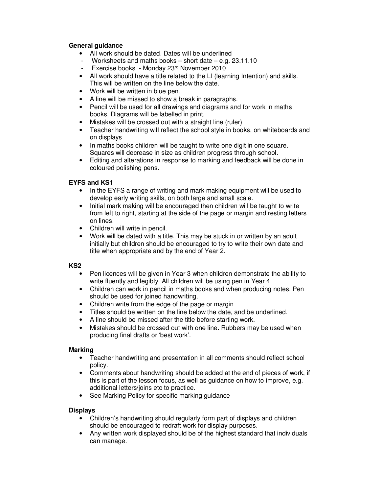# **General guidance**

- All work should be dated. Dates will be underlined
- Worksheets and maths books  $-$  short date  $-$  e.g. 23.11.10
- Exercise books Monday 23rd November 2010
- All work should have a title related to the LI (learning Intention) and skills. This will be written on the line below the date.
- Work will be written in blue pen.
- A line will be missed to show a break in paragraphs.
- Pencil will be used for all drawings and diagrams and for work in maths books. Diagrams will be labelled in print.
- Mistakes will be crossed out with a straight line (ruler)
- Teacher handwriting will reflect the school style in books, on whiteboards and on displays
- In maths books children will be taught to write one digit in one square. Squares will decrease in size as children progress through school.
- Editing and alterations in response to marking and feedback will be done in coloured polishing pens.

# **EYFS and KS1**

- In the EYFS a range of writing and mark making equipment will be used to develop early writing skills, on both large and small scale.
- Initial mark making will be encouraged then children will be taught to write from left to right, starting at the side of the page or margin and resting letters on lines.
- Children will write in pencil.
- Work will be dated with a title. This may be stuck in or written by an adult initially but children should be encouraged to try to write their own date and title when appropriate and by the end of Year 2.

**KS2** 

- Pen licences will be given in Year 3 when children demonstrate the ability to write fluently and legibly. All children will be using pen in Year 4.
- Children can work in pencil in maths books and when producing notes. Pen should be used for joined handwriting.
- Children write from the edge of the page or margin
- Titles should be written on the line below the date, and be underlined.
- A line should be missed after the title before starting work.
- Mistakes should be crossed out with one line. Rubbers may be used when producing final drafts or 'best work'.

# **Marking**

- Teacher handwriting and presentation in all comments should reflect school policy.
- Comments about handwriting should be added at the end of pieces of work, if this is part of the lesson focus, as well as guidance on how to improve, e.g. additional letters/joins etc to practice.
- See Marking Policy for specific marking guidance

# **Displays**

- Children's handwriting should regularly form part of displays and children should be encouraged to redraft work for display purposes.
- Any written work displayed should be of the highest standard that individuals can manage.